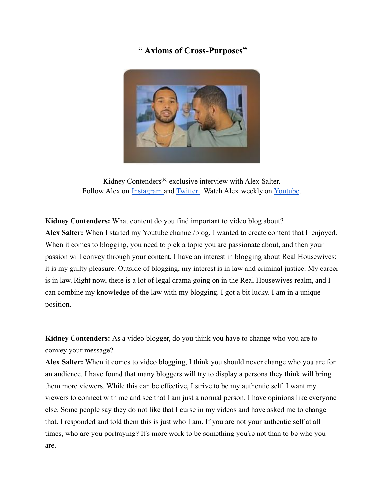## **" Axioms of Cross-Purposes"**



Kidney Contenders<sup>(R)</sup> exclusive interview with Alex Salter. Follow Alex on [Instagram](https://www.instagram.com/alexsalter.co/) and [Twitter](https://twitter.com/alexsalt_?s=09). Watch Alex weekly on [Youtube](https://www.youtube.com/c/AlexSalter/featured).

**Kidney Contenders:** What content do you find important to video blog about? **Alex Salter:** When I started my Youtube channel/blog, I wanted to create content that I enjoyed. When it comes to blogging, you need to pick a topic you are passionate about, and then your passion will convey through your content. I have an interest in blogging about Real Housewives; it is my guilty pleasure. Outside of blogging, my interest is in law and criminal justice. My career is in law. Right now, there is a lot of legal drama going on in the Real Housewives realm, and I can combine my knowledge of the law with my blogging. I got a bit lucky. I am in a unique position.

**Kidney Contenders:** As a video blogger, do you think you have to change who you are to convey your message?

**Alex Salter:** When it comes to video blogging, I think you should never change who you are for an audience. I have found that many bloggers will try to display a persona they think will bring them more viewers. While this can be effective, I strive to be my authentic self. I want my viewers to connect with me and see that I am just a normal person. I have opinions like everyone else. Some people say they do not like that I curse in my videos and have asked me to change that. I responded and told them this is just who I am. If you are not your authentic self at all times, who are you portraying? It's more work to be something you're not than to be who you are.